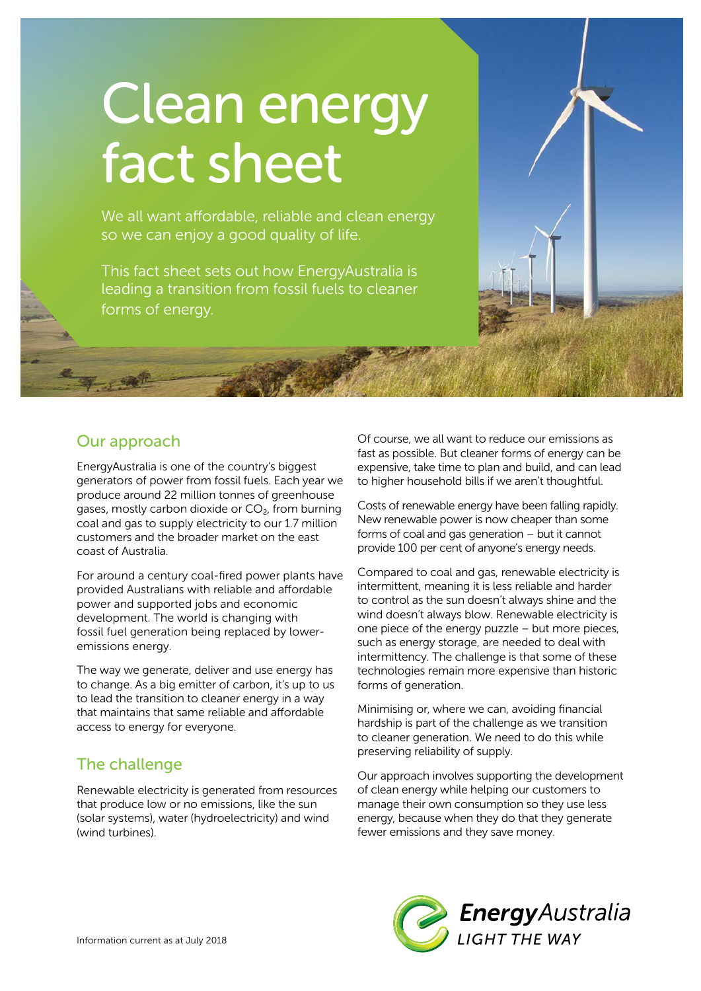# Clean energy fact sheet

We all want affordable, reliable and clean energy so we can enjoy a good quality of life.

This fact sheet sets out how EnergyAustralia is leading a transition from fossil fuels to cleaner forms of energy.



EnergyAustralia is one of the country's biggest generators of power from fossil fuels. Each year we produce around 22 million tonnes of greenhouse gases, mostly carbon dioxide or CO<sub>2</sub>, from burning coal and gas to supply electricity to our 1.7 million customers and the broader market on the east coast of Australia.

For around a century coal-fired power plants have provided Australians with reliable and affordable power and supported jobs and economic development. The world is changing with fossil fuel generation being replaced by loweremissions energy.

The way we generate, deliver and use energy has to change. As a big emitter of carbon, it's up to us to lead the transition to cleaner energy in a way that maintains that same reliable and affordable access to energy for everyone.

# The challenge

Renewable electricity is generated from resources that produce low or no emissions, like the sun (solar systems), water (hydroelectricity) and wind (wind turbines).

Of course, we all want to reduce our emissions as fast as possible. But cleaner forms of energy can be expensive, take time to plan and build, and can lead to higher household bills if we aren't thoughtful.

Costs of renewable energy have been falling rapidly. New renewable power is now cheaper than some forms of coal and gas generation – but it cannot provide 100 per cent of anyone's energy needs.

Compared to coal and gas, renewable electricity is intermittent, meaning it is less reliable and harder to control as the sun doesn't always shine and the wind doesn't always blow. Renewable electricity is one piece of the energy puzzle – but more pieces, such as energy storage, are needed to deal with intermittency. The challenge is that some of these technologies remain more expensive than historic forms of generation.

Minimising or, where we can, avoiding financial hardship is part of the challenge as we transition to cleaner generation. We need to do this while preserving reliability of supply.

Our approach involves supporting the development of clean energy while helping our customers to manage their own consumption so they use less energy, because when they do that they generate fewer emissions and they save money.

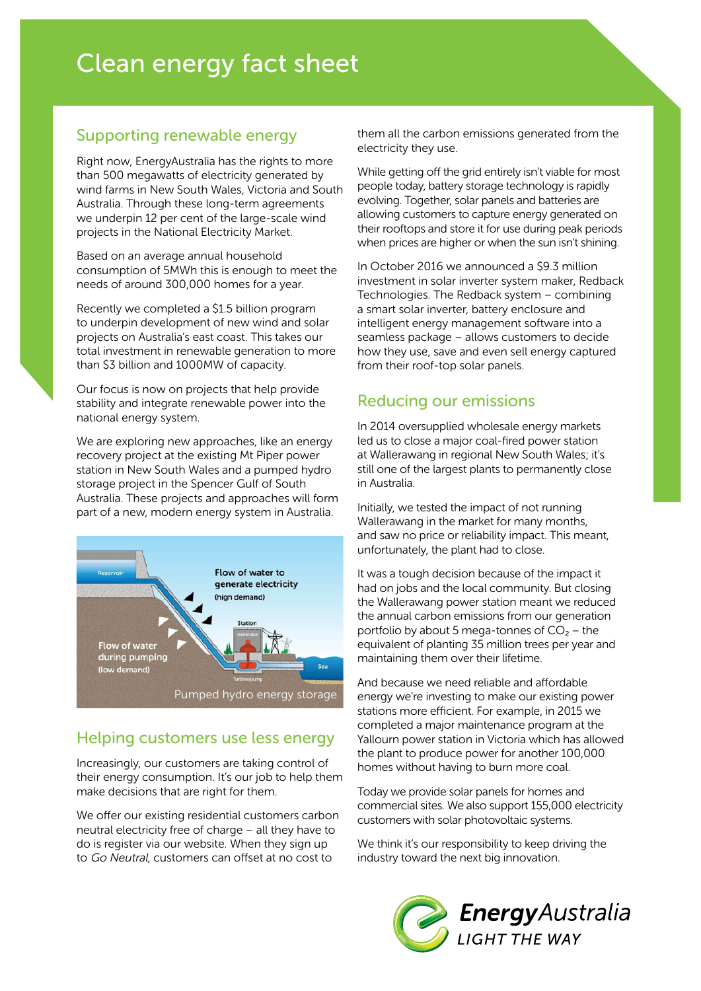#### Supporting renewable energy

Right now, EnergyAustralia has the rights to more than 500 megawatts of electricity generated by wind farms in New South Wales, Victoria and South Australia. Through these long-term agreements we underpin 12 per cent of the large-scale wind projects in the National Electricity Market.

Based on an average annual household consumption of 5MWh this is enough to meet the needs of around 300,000 homes for a year.

Recently we completed a \$1.5 billion program to underpin development of new wind and solar projects on Australia's east coast. This takes our total investment in renewable generation to more than \$3 billion and 1000MW of capacity.

Our focus is now on projects that help provide stability and integrate renewable power into the national energy system.

We are exploring new approaches, like an energy recovery project at the existing Mt Piper power station in New South Wales and a pumped hydro storage project in the Spencer Gulf of South Australia. These projects and approaches will form part of a new, modern energy system in Australia.



# Helping customers use less energy

Increasingly, our customers are taking control of their energy consumption. It's our job to help them make decisions that are right for them.

We offer our existing residential customers carbon neutral electricity free of charge – all they have to do is register via our website. When they sign up to Go Neutral, customers can offset at no cost to

them all the carbon emissions generated from the electricity they use.

While getting off the grid entirely isn't viable for most people today, battery storage technology is rapidly evolving. Together, solar panels and batteries are allowing customers to capture energy generated on their rooftops and store it for use during peak periods when prices are higher or when the sun isn't shining.

In October 2016 we announced a \$9.3 million investment in solar inverter system maker, Redback Technologies. The Redback system – combining a smart solar inverter, battery enclosure and intelligent energy management software into a seamless package – allows customers to decide how they use, save and even sell energy captured from their roof-top solar panels.

## Reducing our emissions

In 2014 oversupplied wholesale energy markets led us to close a major coal-fired power station at Wallerawang in regional New South Wales; it's still one of the largest plants to permanently close in Australia.

Initially, we tested the impact of not running Wallerawang in the market for many months, and saw no price or reliability impact. This meant, unfortunately, the plant had to close.

It was a tough decision because of the impact it had on jobs and the local community. But closing the Wallerawang power station meant we reduced the annual carbon emissions from our generation portfolio by about 5 mega-tonnes of  $CO<sub>2</sub>$  – the equivalent of planting 35 million trees per year and maintaining them over their lifetime.

And because we need reliable and affordable energy we're investing to make our existing power stations more efficient. For example, in 2015 we completed a major maintenance program at the Yallourn power station in Victoria which has allowed the plant to produce power for another 100,000 homes without having to burn more coal.

Today we provide solar panels for homes and commercial sites. We also support 155,000 electricity customers with solar photovoltaic systems.

We think it's our responsibility to keep driving the industry toward the next big innovation.

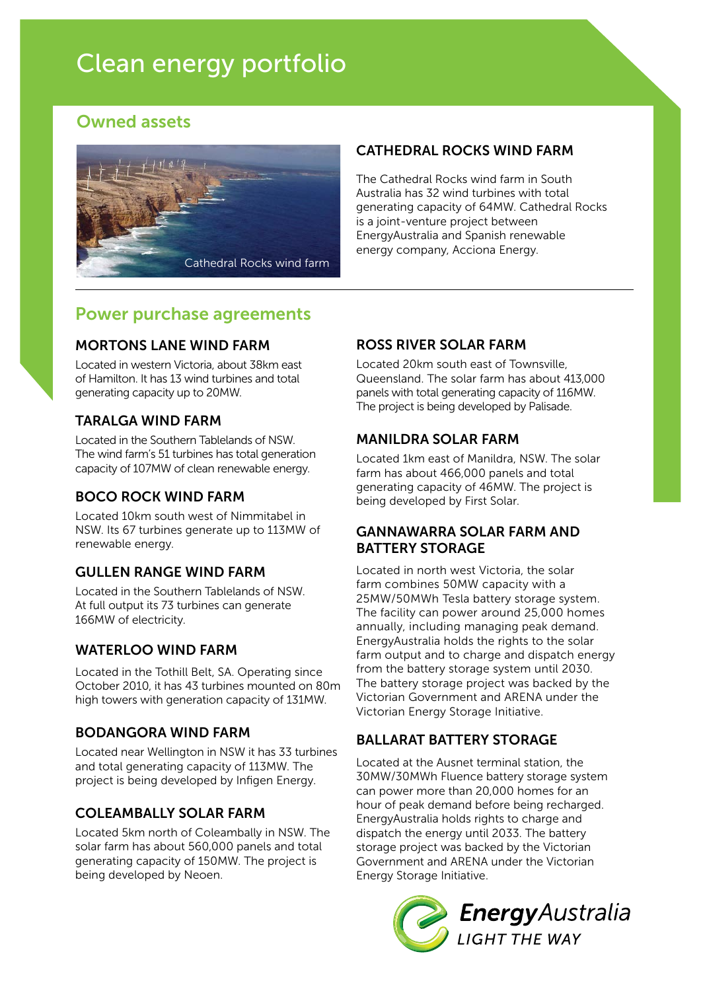# Clean energy portfolio

# Owned assets



#### CATHEDRAL ROCKS WIND FARM

The Cathedral Rocks wind farm in South Australia has 32 wind turbines with total generating capacity of 64MW. Cathedral Rocks is a joint-venture project between EnergyAustralia and Spanish renewable energy company, Acciona Energy.

# Power purchase agreements

#### MORTONS LANE WIND FARM

Located in western Victoria, about 38km east of Hamilton. It has 13 wind turbines and total generating capacity up to 20MW.

#### TARALGA WIND FARM

Located in the Southern Tablelands of NSW. The wind farm's 51 turbines has total generation capacity of 107MW of clean renewable energy.

#### BOCO ROCK WIND FARM

Located 10km south west of Nimmitabel in NSW. Its 67 turbines generate up to 113MW of renewable energy.

#### GULLEN RANGE WIND FARM

Located in the Southern Tablelands of NSW. At full output its 73 turbines can generate 166MW of electricity.

#### WATERLOO WIND FARM

Located in the Tothill Belt, SA. Operating since October 2010, it has 43 turbines mounted on 80m high towers with generation capacity of 131MW.

#### BODANGORA WIND FARM

Located near Wellington in NSW it has 33 turbines and total generating capacity of 113MW. The project is being developed by Infigen Energy.

#### COLEAMBALLY SOLAR FARM

Located 5km north of Coleambally in NSW. The solar farm has about 560,000 panels and total generating capacity of 150MW. The project is being developed by Neoen.

## ROSS RIVER SOLAR FARM

Located 20km south east of Townsville, Queensland. The solar farm has about 413,000 panels with total generating capacity of 116MW. The project is being developed by Palisade.

#### MANILDRA SOLAR FARM

Located 1km east of Manildra, NSW. The solar farm has about 466,000 panels and total generating capacity of 46MW. The project is being developed by First Solar.

#### GANNAWARRA SOLAR FARM AND BATTERY STORAGE

Located in north west Victoria, the solar farm combines 50MW capacity with a 25MW/50MWh Tesla battery storage system. The facility can power around 25,000 homes annually, including managing peak demand. EnergyAustralia holds the rights to the solar farm output and to charge and dispatch energy from the battery storage system until 2030. The battery storage project was backed by the Victorian Government and ARENA under the Victorian Energy Storage Initiative.

#### BALLARAT BATTERY STORAGE

Located at the Ausnet terminal station, the 30MW/30MWh Fluence battery storage system can power more than 20,000 homes for an hour of peak demand before being recharged. EnergyAustralia holds rights to charge and dispatch the energy until 2033. The battery storage project was backed by the Victorian Government and ARENA under the Victorian Energy Storage Initiative.